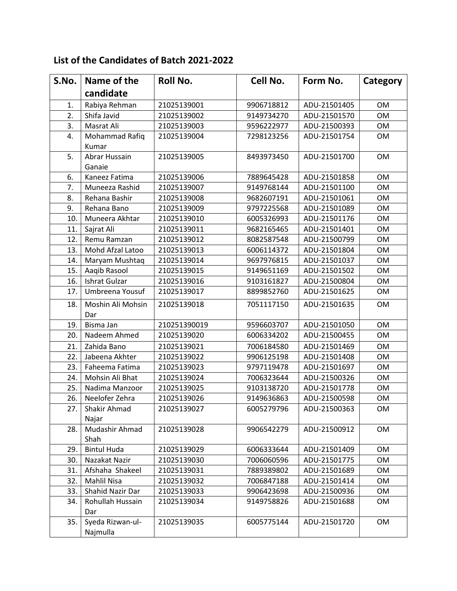## **List of the Candidates of Batch 2021-2022**

| S.No. | Name of the           | <b>Roll No.</b> | Cell No.   | Form No.     | Category  |
|-------|-----------------------|-----------------|------------|--------------|-----------|
|       | candidate             |                 |            |              |           |
| 1.    | Rabiya Rehman         | 21025139001     | 9906718812 | ADU-21501405 | <b>OM</b> |
| 2.    | Shifa Javid           | 21025139002     | 9149734270 | ADU-21501570 | <b>OM</b> |
| 3.    | Masrat Ali            | 21025139003     | 9596222977 | ADU-21500393 | <b>OM</b> |
| 4.    | Mohammad Rafiq        | 21025139004     | 7298123256 | ADU-21501754 | <b>OM</b> |
|       | Kumar                 |                 |            |              |           |
| 5.    | <b>Abrar Hussain</b>  | 21025139005     | 8493973450 | ADU-21501700 | <b>OM</b> |
|       | Ganaie                |                 |            |              |           |
| 6.    | Kaneez Fatima         | 21025139006     | 7889645428 | ADU-21501858 | <b>OM</b> |
| 7.    | Muneeza Rashid        | 21025139007     | 9149768144 | ADU-21501100 | <b>OM</b> |
| 8.    | Rehana Bashir         | 21025139008     | 9682607191 | ADU-21501061 | <b>OM</b> |
| 9.    | Rehana Bano           | 21025139009     | 9797225568 | ADU-21501089 | <b>OM</b> |
| 10.   | Muneera Akhtar        | 21025139010     | 6005326993 | ADU-21501176 | <b>OM</b> |
| 11.   | Sajrat Ali            | 21025139011     | 9682165465 | ADU-21501401 | <b>OM</b> |
| 12.   | Remu Ramzan           | 21025139012     | 8082587548 | ADU-21500799 | <b>OM</b> |
| 13.   | Mohd Afzal Latoo      | 21025139013     | 6006114372 | ADU-21501804 | <b>OM</b> |
| 14.   | Maryam Mushtaq        | 21025139014     | 9697976815 | ADU-21501037 | <b>OM</b> |
| 15.   | Aaqib Rasool          | 21025139015     | 9149651169 | ADU-21501502 | <b>OM</b> |
| 16.   | Ishrat Gulzar         | 21025139016     | 9103161827 | ADU-21500804 | <b>OM</b> |
| 17.   | Umbreena Yousuf       | 21025139017     | 8899852760 | ADU-21501625 | <b>OM</b> |
| 18.   | Moshin Ali Mohsin     | 21025139018     | 7051117150 | ADU-21501635 | <b>OM</b> |
|       | Dar                   |                 |            |              |           |
| 19.   | Bisma Jan             | 210251390019    | 9596603707 | ADU-21501050 | <b>OM</b> |
| 20.   | Nadeem Ahmed          | 21025139020     | 6006334202 | ADU-21500455 | <b>OM</b> |
| 21.   | Zahida Bano           | 21025139021     | 7006184580 | ADU-21501469 | <b>OM</b> |
| 22.   | Jabeena Akhter        | 21025139022     | 9906125198 | ADU-21501408 | <b>OM</b> |
| 23.   | Faheema Fatima        | 21025139023     | 9797119478 | ADU-21501697 | <b>OM</b> |
| 24.   | Mohsin Ali Bhat       | 21025139024     | 7006323644 | ADU-21500326 | <b>OM</b> |
| 25.   | Nadima Manzoor        | 21025139025     | 9103138720 | ADU-21501778 | OM        |
| 26.   | Neelofer Zehra        | 21025139026     | 9149636863 | ADU-21500598 | <b>OM</b> |
| 27.   | Shakir Ahmad<br>Najar | 21025139027     | 6005279796 | ADU-21500363 | OM        |
| 28.   | Mudashir Ahmad        | 21025139028     | 9906542279 | ADU-21500912 | OM        |
|       | Shah                  |                 |            |              |           |
| 29.   | <b>Bintul Huda</b>    | 21025139029     | 6006333644 | ADU-21501409 | <b>OM</b> |
| 30.   | Nazakat Nazir         | 21025139030     | 7006060596 | ADU-21501775 | OM        |
| 31.   | Afshaha Shakeel       | 21025139031     | 7889389802 | ADU-21501689 | OM        |
| 32.   | Mahlil Nisa           | 21025139032     | 7006847188 | ADU-21501414 | OM        |
| 33.   | Shahid Nazir Dar      | 21025139033     | 9906423698 | ADU-21500936 | OM        |
| 34.   | Rohullah Hussain      | 21025139034     | 9149758826 | ADU-21501688 | OM        |
|       | Dar                   |                 |            |              |           |
| 35.   | Syeda Rizwan-ul-      | 21025139035     | 6005775144 | ADU-21501720 | OM        |
|       | Najmulla              |                 |            |              |           |